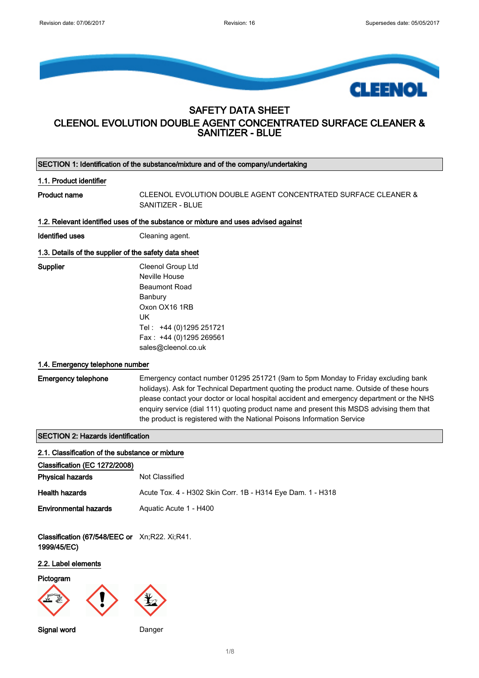

# SAFETY DATA SHEET

# CLEENOL EVOLUTION DOUBLE AGENT CONCENTRATED SURFACE CLEANER & SANITIZER - BLUE

SECTION 1: Identification of the substance/mixture and of the company/undertaking 1.1. Product identifier Product name CLEENOL EVOLUTION DOUBLE AGENT CONCENTRATED SURFACE CLEANER & SANITIZER - BLUE 1.2. Relevant identified uses of the substance or mixture and uses advised against Identified uses **Cleaning agent.** 1.3. Details of the supplier of the safety data sheet Supplier Cleenol Group Ltd Neville House Beaumont Road Banbury Oxon OX16 1RB UK Tel : +44 (0)1295 251721 Fax : +44 (0)1295 269561 sales@cleenol.co.uk 1.4. Emergency telephone number Emergency telephone Emergency contact number 01295 251721 (9am to 5pm Monday to Friday excluding bank holidays). Ask for Technical Department quoting the product name. Outside of these hours please contact your doctor or local hospital accident and emergency department or the NHS enquiry service (dial 111) quoting product name and present this MSDS advising them that the product is registered with the National Poisons Information Service SECTION 2: Hazards identification 2.1. Classification of the substance or mixture Classification (EC 1272/2008) **Physical hazards** Not Classified Health hazards **Acute Tox. 4 - H302 Skin Corr. 1B - H314 Eye Dam. 1 - H318 Environmental hazards** Aquatic Acute 1 - H400 Classification (67/548/EEC or Xn;R22. Xi;R41. 1999/45/EC) 2.2. Label elements **Pictogram** 

Signal word Danger

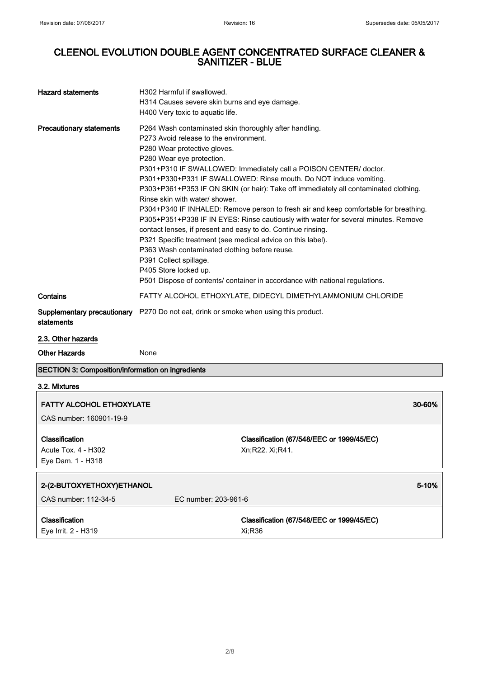| <b>Hazard statements</b>                                   | H302 Harmful if swallowed.<br>H314 Causes severe skin burns and eye damage.<br>H400 Very toxic to aquatic life.                                                                                                                                                                                                                                                                                                                    |                                                                                                                                                                                                                                                                                                                                                                                                                                                                                              |
|------------------------------------------------------------|------------------------------------------------------------------------------------------------------------------------------------------------------------------------------------------------------------------------------------------------------------------------------------------------------------------------------------------------------------------------------------------------------------------------------------|----------------------------------------------------------------------------------------------------------------------------------------------------------------------------------------------------------------------------------------------------------------------------------------------------------------------------------------------------------------------------------------------------------------------------------------------------------------------------------------------|
| <b>Precautionary statements</b>                            | P264 Wash contaminated skin thoroughly after handling.<br>P273 Avoid release to the environment.<br>P280 Wear protective gloves.<br>P280 Wear eye protection.<br>Rinse skin with water/ shower.<br>contact lenses, if present and easy to do. Continue rinsing.<br>P321 Specific treatment (see medical advice on this label).<br>P363 Wash contaminated clothing before reuse.<br>P391 Collect spillage.<br>P405 Store locked up. | P301+P310 IF SWALLOWED: Immediately call a POISON CENTER/ doctor.<br>P301+P330+P331 IF SWALLOWED: Rinse mouth. Do NOT induce vomiting.<br>P303+P361+P353 IF ON SKIN (or hair): Take off immediately all contaminated clothing.<br>P304+P340 IF INHALED: Remove person to fresh air and keep comfortable for breathing.<br>P305+P351+P338 IF IN EYES: Rinse cautiously with water for several minutes. Remove<br>P501 Dispose of contents/ container in accordance with national regulations. |
| Contains                                                   |                                                                                                                                                                                                                                                                                                                                                                                                                                    | FATTY ALCOHOL ETHOXYLATE, DIDECYL DIMETHYLAMMONIUM CHLORIDE                                                                                                                                                                                                                                                                                                                                                                                                                                  |
| Supplementary precautionary<br>statements                  | P270 Do not eat, drink or smoke when using this product.                                                                                                                                                                                                                                                                                                                                                                           |                                                                                                                                                                                                                                                                                                                                                                                                                                                                                              |
| 2.3. Other hazards                                         |                                                                                                                                                                                                                                                                                                                                                                                                                                    |                                                                                                                                                                                                                                                                                                                                                                                                                                                                                              |
| <b>Other Hazards</b>                                       | None                                                                                                                                                                                                                                                                                                                                                                                                                               |                                                                                                                                                                                                                                                                                                                                                                                                                                                                                              |
| <b>SECTION 3: Composition/information on ingredients</b>   |                                                                                                                                                                                                                                                                                                                                                                                                                                    |                                                                                                                                                                                                                                                                                                                                                                                                                                                                                              |
| 3.2. Mixtures                                              |                                                                                                                                                                                                                                                                                                                                                                                                                                    |                                                                                                                                                                                                                                                                                                                                                                                                                                                                                              |
| <b>FATTY ALCOHOL ETHOXYLATE</b><br>CAS number: 160901-19-9 |                                                                                                                                                                                                                                                                                                                                                                                                                                    | 30-60%                                                                                                                                                                                                                                                                                                                                                                                                                                                                                       |
| Classification<br>Acute Tox. 4 - H302<br>Eye Dam. 1 - H318 |                                                                                                                                                                                                                                                                                                                                                                                                                                    | Classification (67/548/EEC or 1999/45/EC)<br>Xn;R22. Xi;R41.                                                                                                                                                                                                                                                                                                                                                                                                                                 |
| 2-(2-BUTOXYETHOXY)ETHANOL                                  |                                                                                                                                                                                                                                                                                                                                                                                                                                    | 5-10%                                                                                                                                                                                                                                                                                                                                                                                                                                                                                        |
| CAS number: 112-34-5                                       | EC number: 203-961-6                                                                                                                                                                                                                                                                                                                                                                                                               |                                                                                                                                                                                                                                                                                                                                                                                                                                                                                              |
| Classification<br>Eye Irrit. 2 - H319                      |                                                                                                                                                                                                                                                                                                                                                                                                                                    | Classification (67/548/EEC or 1999/45/EC)<br>Xi;R36                                                                                                                                                                                                                                                                                                                                                                                                                                          |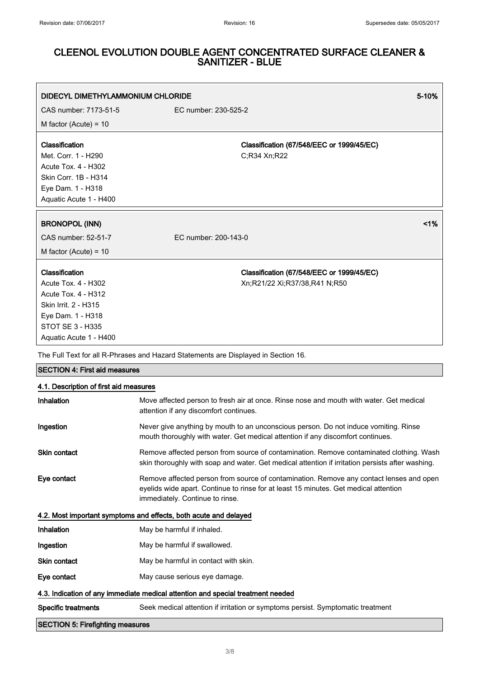| DIDECYL DIMETHYLAMMONIUM CHLORIDE                                                                                                                                     |                                                                                    | $5 - 10%$ |
|-----------------------------------------------------------------------------------------------------------------------------------------------------------------------|------------------------------------------------------------------------------------|-----------|
| CAS number: 7173-51-5                                                                                                                                                 | EC number: 230-525-2                                                               |           |
| M factor (Acute) = $10$                                                                                                                                               |                                                                                    |           |
| Classification<br>Met. Corr. 1 - H290<br>Acute Tox. 4 - H302<br>Skin Corr. 1B - H314<br>Eye Dam. 1 - H318<br>Aquatic Acute 1 - H400                                   | Classification (67/548/EEC or 1999/45/EC)<br>C;R34 Xn;R22                          |           |
| <b>BRONOPOL (INN)</b>                                                                                                                                                 |                                                                                    | 1%        |
| CAS number: 52-51-7                                                                                                                                                   | EC number: 200-143-0                                                               |           |
| M factor (Acute) = $10$                                                                                                                                               |                                                                                    |           |
| Classification<br>Acute Tox. 4 - H302<br><b>Acute Tox. 4 - H312</b><br>Skin Irrit. 2 - H315<br>Eye Dam. 1 - H318<br><b>STOT SE 3 - H335</b><br>Aquatic Acute 1 - H400 | Classification (67/548/EEC or 1999/45/EC)<br>Xn;R21/22 Xi;R37/38,R41 N;R50         |           |
|                                                                                                                                                                       | The Full Text for all R-Phrases and Hazard Statements are Displayed in Section 16. |           |

| 4.1. Description of first aid measures                                          |                                                                                                                                                                                                                    |  |
|---------------------------------------------------------------------------------|--------------------------------------------------------------------------------------------------------------------------------------------------------------------------------------------------------------------|--|
| Inhalation                                                                      | Move affected person to fresh air at once. Rinse nose and mouth with water. Get medical<br>attention if any discomfort continues.                                                                                  |  |
| Ingestion                                                                       | Never give anything by mouth to an unconscious person. Do not induce vomiting. Rinse<br>mouth thoroughly with water. Get medical attention if any discomfort continues.                                            |  |
| <b>Skin contact</b>                                                             | Remove affected person from source of contamination. Remove contaminated clothing. Wash<br>skin thoroughly with soap and water. Get medical attention if irritation persists after washing.                        |  |
| Eye contact                                                                     | Remove affected person from source of contamination. Remove any contact lenses and open<br>eyelids wide apart. Continue to rinse for at least 15 minutes. Get medical attention<br>immediately. Continue to rinse. |  |
|                                                                                 | 4.2. Most important symptoms and effects, both acute and delayed                                                                                                                                                   |  |
| Inhalation                                                                      | May be harmful if inhaled.                                                                                                                                                                                         |  |
| Ingestion                                                                       | May be harmful if swallowed.                                                                                                                                                                                       |  |
| <b>Skin contact</b>                                                             | May be harmful in contact with skin.                                                                                                                                                                               |  |
| Eye contact                                                                     | May cause serious eye damage.                                                                                                                                                                                      |  |
| 4.3. Indication of any immediate medical attention and special treatment needed |                                                                                                                                                                                                                    |  |
| <b>Specific treatments</b>                                                      | Seek medical attention if irritation or symptoms persist. Symptomatic treatment                                                                                                                                    |  |
|                                                                                 |                                                                                                                                                                                                                    |  |

### SECTION 5: Firefighting measures

SECTION 4: First aid measures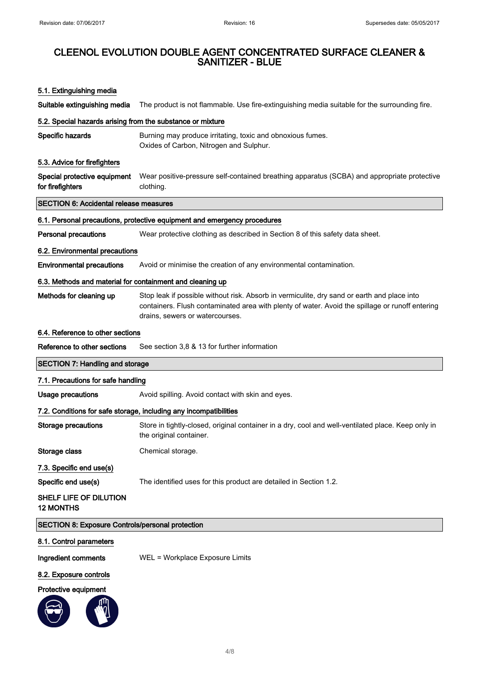### 5.1. Extinguishing media

Suitable extinguishing media The product is not flammable. Use fire-extinguishing media suitable for the surrounding fire.

### 5.2. Special hazards arising from the substance or mixture

| Specific hazards | Burning may produce irritating, toxic and obnoxious fumes. |
|------------------|------------------------------------------------------------|
|                  | Oxides of Carbon, Nitrogen and Sulphur.                    |

#### 5.3. Advice for firefighters

Special protective equipment for firefighters Wear positive-pressure self-contained breathing apparatus (SCBA) and appropriate protective clothing.

### SECTION 6: Accidental release measures

### 6.1. Personal precautions, protective equipment and emergency procedures

Personal precautions Wear protective clothing as described in Section 8 of this safety data sheet.

### 6.2. Environmental precautions

Environmental precautions Avoid or minimise the creation of any environmental contamination.

### 6.3. Methods and material for containment and cleaning up

Methods for cleaning up Stop leak if possible without risk. Absorb in vermiculite, dry sand or earth and place into containers. Flush contaminated area with plenty of water. Avoid the spillage or runoff entering drains, sewers or watercourses.

#### 6.4. Reference to other sections

### SECTION 7: Handling and storage

### 7.1. Precautions for safe handling

Usage precautions **Avoid spilling.** Avoid contact with skin and eyes.

#### 7.2. Conditions for safe storage, including any incompatibilities

| Storage precautions      | Store in tightly-closed, original container in a dry, cool and well-ventilated place. Keep only in<br>the original container. |
|--------------------------|-------------------------------------------------------------------------------------------------------------------------------|
| Storage class            | Chemical storage.                                                                                                             |
| 7.3. Specific end use(s) |                                                                                                                               |
| Specific end use(s)      | The identified uses for this product are detailed in Section 1.2.                                                             |

SHELF LIFE OF DILUTION 12 MONTHS

### SECTION 8: Exposure Controls/personal protection

### 8.1. Control parameters

Ingredient comments WEL = Workplace Exposure Limits

#### 8.2. Exposure controls

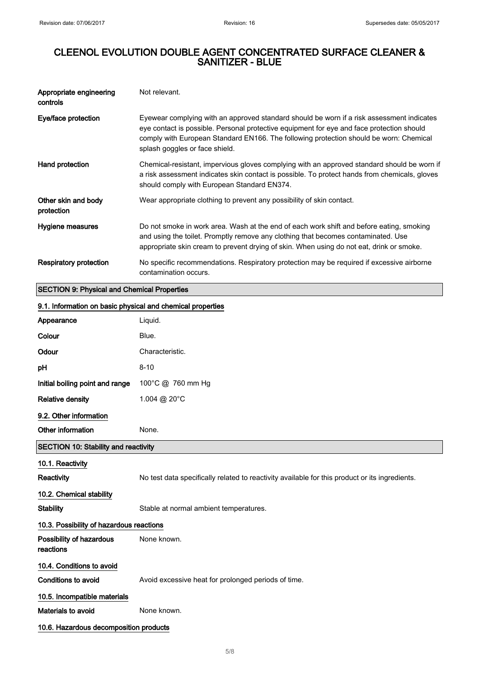| Appropriate engineering<br>controls | Not relevant.                                                                                                                                                                                                                                                                                                      |
|-------------------------------------|--------------------------------------------------------------------------------------------------------------------------------------------------------------------------------------------------------------------------------------------------------------------------------------------------------------------|
| Eye/face protection                 | Eyewear complying with an approved standard should be worn if a risk assessment indicates<br>eye contact is possible. Personal protective equipment for eye and face protection should<br>comply with European Standard EN166. The following protection should be worn: Chemical<br>splash goggles or face shield. |
| Hand protection                     | Chemical-resistant, impervious gloves complying with an approved standard should be worn if<br>a risk assessment indicates skin contact is possible. To protect hands from chemicals, gloves<br>should comply with European Standard EN374.                                                                        |
| Other skin and body<br>protection   | Wear appropriate clothing to prevent any possibility of skin contact.                                                                                                                                                                                                                                              |
| Hygiene measures                    | Do not smoke in work area. Wash at the end of each work shift and before eating, smoking<br>and using the toilet. Promptly remove any clothing that becomes contaminated. Use<br>appropriate skin cream to prevent drying of skin. When using do not eat, drink or smoke.                                          |
| Respiratory protection              | No specific recommendations. Respiratory protection may be required if excessive airborne<br>contamination occurs.                                                                                                                                                                                                 |

# SECTION 9: Physical and Chemical Properties

### 9.1. Information on basic physical and chemical properties

| Appearance                                  | Liquid.                                                                                        |
|---------------------------------------------|------------------------------------------------------------------------------------------------|
| Colour                                      | Blue.                                                                                          |
| Odour                                       | Characteristic.                                                                                |
| pH                                          | $8 - 10$                                                                                       |
| Initial boiling point and range             | 100°C @ 760 mm Hg                                                                              |
| <b>Relative density</b>                     | 1.004 @ 20°C                                                                                   |
| 9.2. Other information                      |                                                                                                |
| Other information                           | None.                                                                                          |
| <b>SECTION 10: Stability and reactivity</b> |                                                                                                |
| 10.1. Reactivity                            |                                                                                                |
| <b>Reactivity</b>                           | No test data specifically related to reactivity available for this product or its ingredients. |
| 10.2. Chemical stability                    |                                                                                                |
| <b>Stability</b>                            | Stable at normal ambient temperatures.                                                         |
| 10.3. Possibility of hazardous reactions    |                                                                                                |
| Possibility of hazardous<br>reactions       | None known.                                                                                    |
| 10.4. Conditions to avoid                   |                                                                                                |
| Conditions to avoid                         | Avoid excessive heat for prolonged periods of time.                                            |
| 10.5. Incompatible materials                |                                                                                                |
| <b>Materials to avoid</b>                   | None known.                                                                                    |
| 10.6. Hazardous decomposition products      |                                                                                                |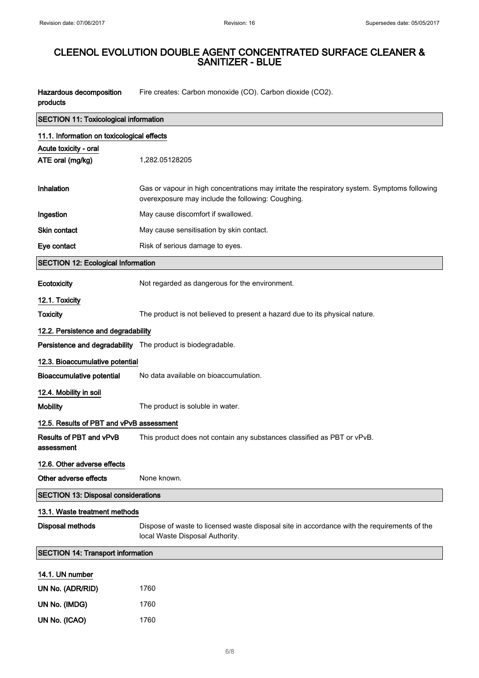$\overline{\phantom{0}}$ 

# CLEENOL EVOLUTION DOUBLE AGENT CONCENTRATED SURFACE CLEANER & SANITIZER - BLUE

| Hazardous decomposition | Fire creates: Carbon monoxide (CO). Carbon dioxide (CO2). |
|-------------------------|-----------------------------------------------------------|
| products                |                                                           |
|                         |                                                           |

| SECTION 11: Toxicological information      |                                                                                                                                                   |  |
|--------------------------------------------|---------------------------------------------------------------------------------------------------------------------------------------------------|--|
| 11.1. Information on toxicological effects |                                                                                                                                                   |  |
| Acute toxicity - oral                      |                                                                                                                                                   |  |
| ATE oral (mg/kg)                           | 1,282.05128205                                                                                                                                    |  |
|                                            |                                                                                                                                                   |  |
| Inhalation                                 | Gas or vapour in high concentrations may irritate the respiratory system. Symptoms following<br>overexposure may include the following: Coughing. |  |
| Ingestion                                  | May cause discomfort if swallowed.                                                                                                                |  |
| Skin contact                               | May cause sensitisation by skin contact.                                                                                                          |  |
| Eye contact                                | Risk of serious damage to eyes.                                                                                                                   |  |
| <b>SECTION 12: Ecological Information</b>  |                                                                                                                                                   |  |
| <b>Ecotoxicity</b>                         | Not regarded as dangerous for the environment.                                                                                                    |  |
| 12.1. Toxicity                             |                                                                                                                                                   |  |
| <b>Toxicity</b>                            | The product is not believed to present a hazard due to its physical nature.                                                                       |  |
| 12.2. Persistence and degradability        |                                                                                                                                                   |  |
|                                            | Persistence and degradability The product is biodegradable.                                                                                       |  |
| 12.3. Bioaccumulative potential            |                                                                                                                                                   |  |
| <b>Bioaccumulative potential</b>           | No data available on bioaccumulation.                                                                                                             |  |
| 12.4. Mobility in soil                     |                                                                                                                                                   |  |
| <b>Mobility</b>                            | The product is soluble in water.                                                                                                                  |  |
| 12.5. Results of PBT and vPvB assessment   |                                                                                                                                                   |  |
| Results of PBT and vPvB<br>assessment      | This product does not contain any substances classified as PBT or vPvB.                                                                           |  |
| 12.6. Other adverse effects                |                                                                                                                                                   |  |
| Other adverse effects                      | None known.                                                                                                                                       |  |
| <b>SECTION 13: Disposal considerations</b> |                                                                                                                                                   |  |
| 13.1. Waste treatment methods              |                                                                                                                                                   |  |
| <b>Disposal methods</b>                    | Dispose of waste to licensed waste disposal site in accordance with the requirements of the<br>local Waste Disposal Authority.                    |  |
| <b>SECTION 14: Transport information</b>   |                                                                                                                                                   |  |
| 14.1. UN number                            |                                                                                                                                                   |  |
| UN No. (ADR/RID)                           | 1760                                                                                                                                              |  |
| UN No. (IMDG)                              | 1760                                                                                                                                              |  |
| UN No. (ICAO)                              | 1760                                                                                                                                              |  |
|                                            |                                                                                                                                                   |  |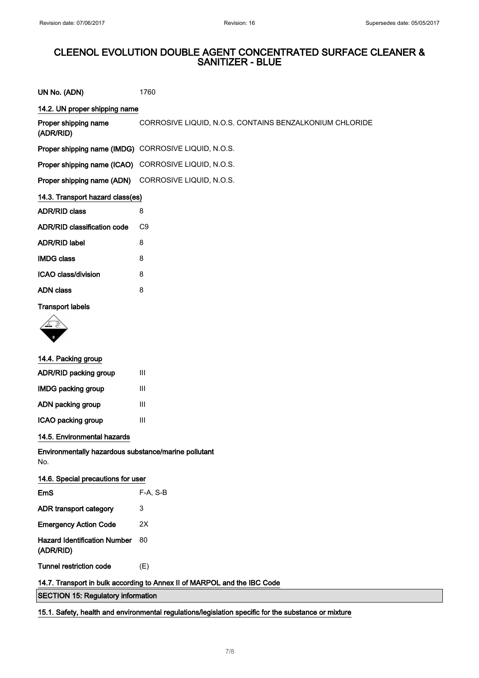| UN No. (ADN)                                                             | 1760                                                    |
|--------------------------------------------------------------------------|---------------------------------------------------------|
| 14.2. UN proper shipping name                                            |                                                         |
| Proper shipping name<br>(ADR/RID)                                        | CORROSIVE LIQUID, N.O.S. CONTAINS BENZALKONIUM CHLORIDE |
| Proper shipping name (IMDG) CORROSIVE LIQUID, N.O.S.                     |                                                         |
| Proper shipping name (ICAO) CORROSIVE LIQUID, N.O.S.                     |                                                         |
| Proper shipping name (ADN) CORROSIVE LIQUID, N.O.S.                      |                                                         |
| 14.3. Transport hazard class(es)                                         |                                                         |
| <b>ADR/RID class</b>                                                     | 8                                                       |
| <b>ADR/RID classification code</b>                                       | C9                                                      |
| <b>ADR/RID label</b>                                                     | 8                                                       |
| <b>IMDG class</b>                                                        | 8                                                       |
| ICAO class/division                                                      | 8                                                       |
| <b>ADN class</b>                                                         | 8                                                       |
| <b>Transport labels</b>                                                  |                                                         |
|                                                                          |                                                         |
| 14.4. Packing group                                                      |                                                         |
| <b>ADR/RID packing group</b>                                             | $\mathbf{III}$                                          |
| <b>IMDG packing group</b>                                                | $\mathbf{III}$                                          |
| ADN packing group                                                        | $\mathbf{III}$                                          |
| ICAO packing group                                                       | $\mathbf{III}$                                          |
| 14.5. Environmental hazards                                              |                                                         |
| Environmentally hazardous substance/marine pollutant<br>No.              |                                                         |
| 14.6. Special precautions for user                                       |                                                         |
| <b>EmS</b>                                                               | F-A, S-B                                                |
| <b>ADR transport category</b>                                            | 3                                                       |
| <b>Emergency Action Code</b>                                             | 2X                                                      |
| <b>Hazard Identification Number</b><br>(ADR/RID)                         | 80                                                      |
| <b>Tunnel restriction code</b>                                           | (E)                                                     |
| 14.7. Transport in bulk according to Annex II of MARPOL and the IBC Code |                                                         |
| <b>SECTION 15: Regulatory information</b>                                |                                                         |

15.1. Safety, health and environmental regulations/legislation specific for the substance or mixture